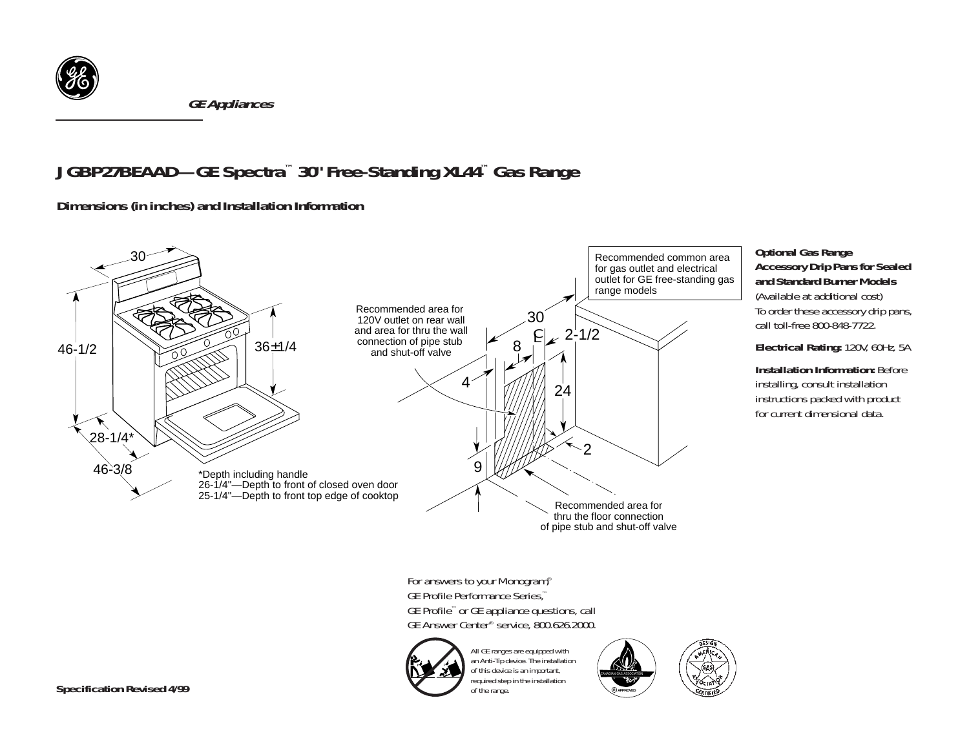

*GE Appliances*

## *JGBP27BEAAD—GE Spectra™ 30" Free-Standing XL44™ Gas Range*

*Dimensions (in inches) and Installation Information* 



of the range.

**<sup>R</sup> APPROVED**

## *Optional Gas Range Accessory Drip Pans for Sealed and Standard Burner Models*

(Available at additional cost) To order these accessory drip pans, call toll-free 800-848-7722.

*Electrical Rating:* 120V, 60Hz, 5A

**Installation Information: Before** installing, consult installation instructions packed with product for current dimensional data.